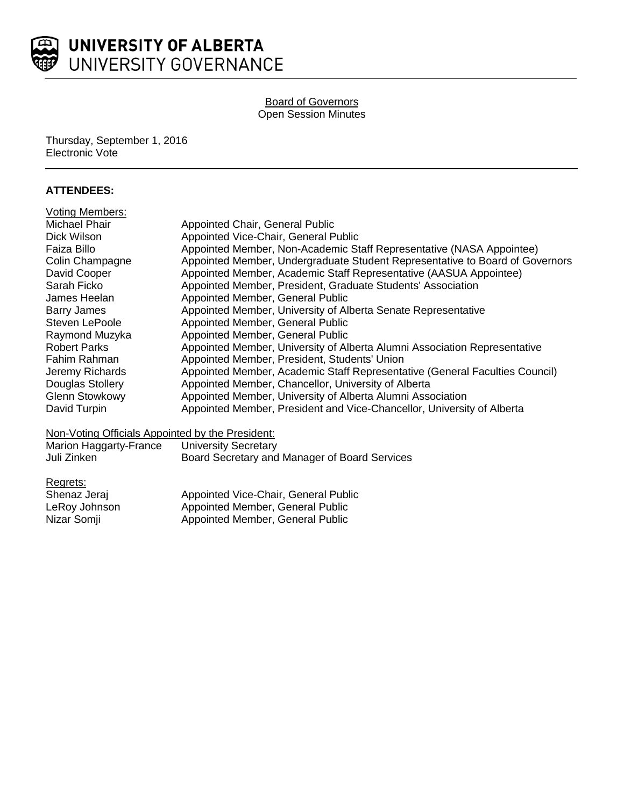

### Board of Governors Open Session Minutes

Thursday, September 1, 2016 Electronic Vote

### **ATTENDEES:**

| Appointed Chair, General Public                                              |
|------------------------------------------------------------------------------|
| Appointed Vice-Chair, General Public                                         |
| Appointed Member, Non-Academic Staff Representative (NASA Appointee)         |
| Appointed Member, Undergraduate Student Representative to Board of Governors |
| Appointed Member, Academic Staff Representative (AASUA Appointee)            |
| Appointed Member, President, Graduate Students' Association                  |
| Appointed Member, General Public                                             |
| Appointed Member, University of Alberta Senate Representative                |
| Appointed Member, General Public                                             |
| Appointed Member, General Public                                             |
| Appointed Member, University of Alberta Alumni Association Representative    |
| Appointed Member, President, Students' Union                                 |
| Appointed Member, Academic Staff Representative (General Faculties Council)  |
| Appointed Member, Chancellor, University of Alberta                          |
| Appointed Member, University of Alberta Alumni Association                   |
| Appointed Member, President and Vice-Chancellor, University of Alberta       |
|                                                                              |

### Non-Voting Officials Appointed by the President:

| Marion Haggarty-France | <b>University Secretary</b>                   |
|------------------------|-----------------------------------------------|
| Juli Zinken            | Board Secretary and Manager of Board Services |

Regrets:

| Shenaz Jeraj  | Appointed Vice-Chair, General Public |
|---------------|--------------------------------------|
| LeRoy Johnson | Appointed Member, General Public     |
| Nizar Somji   | Appointed Member, General Public     |